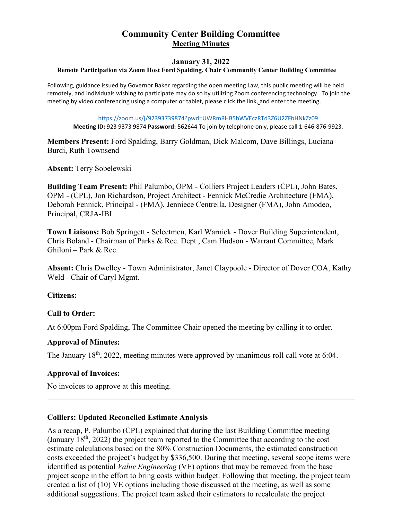# **Community Center Building Committee Meeting Minutes**

#### **January 31, 2022**

#### **Remote Participation via Zoom Host Ford Spalding, Chair Community Center Building Committee**

Following, guidance issued by Governor Baker regarding the open meeting Law, this public meeting will be held remotely, and individuals wishing to participate may do so by utilizing Zoom conferencing technology. To join the meeting by video conferencing using a computer or tablet, please click the link, and enter the meeting.

[https://zoom.us/j/92393739874?pwd=UWRmRHB5bWVEczRTd3Z6U2ZFbHNkZz09](https://protect-us.mimecast.com/s/U53ICyP21nC6EZvRIQ6mmv?domain=zoom.us)

**Meeting ID:** 923 9373 9874 **Password:** 562644 To join by telephone only, please call 1-646-876-9923.

**Members Present:** Ford Spalding, Barry Goldman, Dick Malcom, Dave Billings, Luciana Burdi, Ruth Townsend

**Absent:** Terry Sobelewski

**Building Team Present:** Phil Palumbo, OPM - Colliers Project Leaders (CPL), John Bates, OPM - (CPL), Jon Richardson, Project Architect - Fennick McCredie Architecture (FMA), Deborah Fennick, Principal - (FMA), Jenniece Centrella, Designer (FMA), John Amodeo, Principal, CRJA-IBI

**Town Liaisons:** Bob Springett - Selectmen, Karl Warnick - Dover Building Superintendent, Chris Boland - Chairman of Parks & Rec. Dept., Cam Hudson - Warrant Committee, Mark Ghiloni – Park & Rec.

**Absent:** Chris Dwelley - Town Administrator, Janet Claypoole - Director of Dover COA, Kathy Weld - Chair of Caryl Mgmt.

**Citizens:**

### **Call to Order:**

At 6:00pm Ford Spalding, The Committee Chair opened the meeting by calling it to order.

### **Approval of Minutes:**

The January 18<sup>th</sup>, 2022, meeting minutes were approved by unanimous roll call vote at 6:04.

### **Approval of Invoices:**

No invoices to approve at this meeting.

### **Colliers: Updated Reconciled Estimate Analysis**

As a recap, P. Palumbo (CPL) explained that during the last Building Committee meeting (January  $18<sup>th</sup>$ , 2022) the project team reported to the Committee that according to the cost estimate calculations based on the 80% Construction Documents, the estimated construction costs exceeded the project's budget by \$336,500. During that meeting, several scope items were identified as potential *Value Engineering* (VE) options that may be removed from the base project scope in the effort to bring costs within budget. Following that meeting, the project team created a list of (10) VE options including those discussed at the meeting, as well as some additional suggestions. The project team asked their estimators to recalculate the project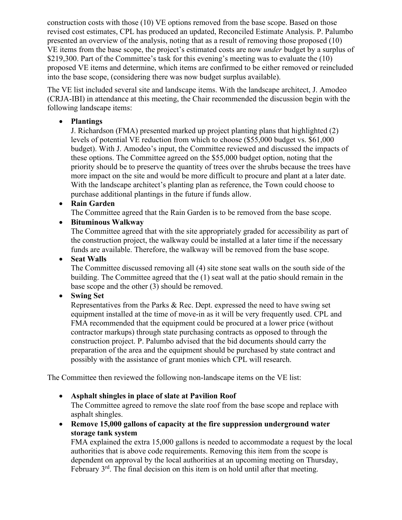construction costs with those (10) VE options removed from the base scope. Based on those revised cost estimates, CPL has produced an updated, Reconciled Estimate Analysis. P. Palumbo presented an overview of the analysis, noting that as a result of removing those proposed (10) VE items from the base scope, the project's estimated costs are now *under* budget by a surplus of \$219,300. Part of the Committee's task for this evening's meeting was to evaluate the (10) proposed VE items and determine, which items are confirmed to be either removed or reincluded into the base scope, (considering there was now budget surplus available).

The VE list included several site and landscape items. With the landscape architect, J. Amodeo (CRJA-IBI) in attendance at this meeting, the Chair recommended the discussion begin with the following landscape items:

### • **Plantings**

J. Richardson (FMA) presented marked up project planting plans that highlighted (2) levels of potential VE reduction from which to choose (\$55,000 budget vs. \$61,000 budget). With J. Amodeo's input, the Committee reviewed and discussed the impacts of these options. The Committee agreed on the \$55,000 budget option, noting that the priority should be to preserve the quantity of trees over the shrubs because the trees have more impact on the site and would be more difficult to procure and plant at a later date. With the landscape architect's planting plan as reference, the Town could choose to purchase additional plantings in the future if funds allow.

• **Rain Garden**

The Committee agreed that the Rain Garden is to be removed from the base scope.

• **Bituminous Walkway**

The Committee agreed that with the site appropriately graded for accessibility as part of the construction project, the walkway could be installed at a later time if the necessary funds are available. Therefore, the walkway will be removed from the base scope.

• **Seat Walls**

The Committee discussed removing all (4) site stone seat walls on the south side of the building. The Committee agreed that the (1) seat wall at the patio should remain in the base scope and the other (3) should be removed.

# • **Swing Set**

Representatives from the Parks & Rec. Dept. expressed the need to have swing set equipment installed at the time of move-in as it will be very frequently used. CPL and FMA recommended that the equipment could be procured at a lower price (without contractor markups) through state purchasing contracts as opposed to through the construction project. P. Palumbo advised that the bid documents should carry the preparation of the area and the equipment should be purchased by state contract and possibly with the assistance of grant monies which CPL will research.

The Committee then reviewed the following non-landscape items on the VE list:

• **Asphalt shingles in place of slate at Pavilion Roof**

The Committee agreed to remove the slate roof from the base scope and replace with asphalt shingles.

• **Remove 15,000 gallons of capacity at the fire suppression underground water storage tank system**

FMA explained the extra 15,000 gallons is needed to accommodate a request by the local authorities that is above code requirements. Removing this item from the scope is dependent on approval by the local authorities at an upcoming meeting on Thursday, February  $3<sup>rd</sup>$ . The final decision on this item is on hold until after that meeting.